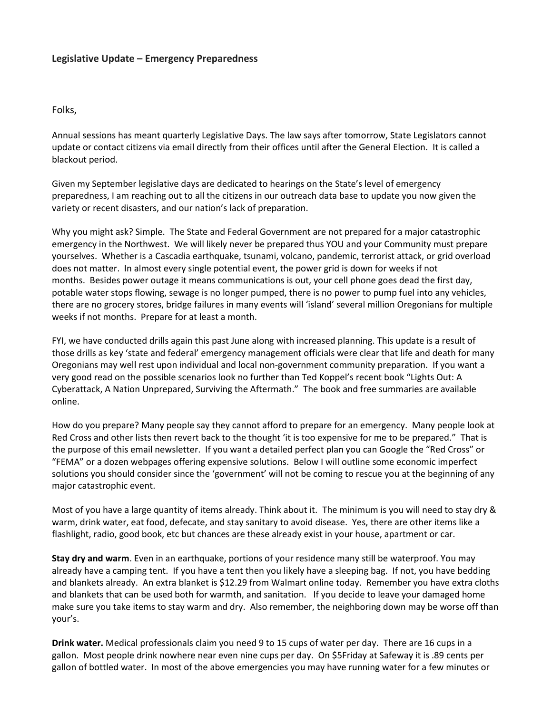## **Legislative Update – Emergency Preparedness**

Folks,

Annual sessions has meant quarterly Legislative Days. The law says after tomorrow, State Legislators cannot update or contact citizens via email directly from their offices until after the General Election. It is called a blackout period.

Given my September legislative days are dedicated to hearings on the State's level of emergency preparedness, I am reaching out to all the citizens in our outreach data base to update you now given the variety or recent disasters, and our nation's lack of preparation.

Why you might ask? Simple. The State and Federal Government are not prepared for a major catastrophic emergency in the Northwest. We will likely never be prepared thus YOU and your Community must prepare yourselves. Whether is a Cascadia earthquake, tsunami, volcano, pandemic, terrorist attack, or grid overload does not matter. In almost every single potential event, the power grid is down for weeks if not months. Besides power outage it means communications is out, your cell phone goes dead the first day, potable water stops flowing, sewage is no longer pumped, there is no power to pump fuel into any vehicles, there are no grocery stores, bridge failures in many events will 'island' several million Oregonians for multiple weeks if not months. Prepare for at least a month.

FYI, we have conducted drills again this past June along with increased planning. This update is a result of those drills as key 'state and federal' emergency management officials were clear that life and death for many Oregonians may well rest upon individual and local non-government community preparation. If you want a very good read on the possible scenarios look no further than Ted Koppel's recent book "Lights Out: A Cyberattack, A Nation Unprepared, Surviving the Aftermath." The book and free summaries are available online.

How do you prepare? Many people say they cannot afford to prepare for an emergency. Many people look at Red Cross and other lists then revert back to the thought 'it is too expensive for me to be prepared." That is the purpose of this email newsletter. If you want a detailed perfect plan you can Google the "Red Cross" or "FEMA" or a dozen webpages offering expensive solutions. Below I will outline some economic imperfect solutions you should consider since the 'government' will not be coming to rescue you at the beginning of any major catastrophic event.

Most of you have a large quantity of items already. Think about it. The minimum is you will need to stay dry & warm, drink water, eat food, defecate, and stay sanitary to avoid disease. Yes, there are other items like a flashlight, radio, good book, etc but chances are these already exist in your house, apartment or car.

**Stay dry and warm**. Even in an earthquake, portions of your residence many still be waterproof. You may already have a camping tent. If you have a tent then you likely have a sleeping bag. If not, you have bedding and blankets already. An extra blanket is \$12.29 from Walmart online today. Remember you have extra cloths and blankets that can be used both for warmth, and sanitation. If you decide to leave your damaged home make sure you take items to stay warm and dry. Also remember, the neighboring down may be worse off than your's.

**Drink water.** Medical professionals claim you need 9 to 15 cups of water per day. There are 16 cups in a gallon. Most people drink nowhere near even nine cups per day. On \$5Friday at Safeway it is .89 cents per gallon of bottled water. In most of the above emergencies you may have running water for a few minutes or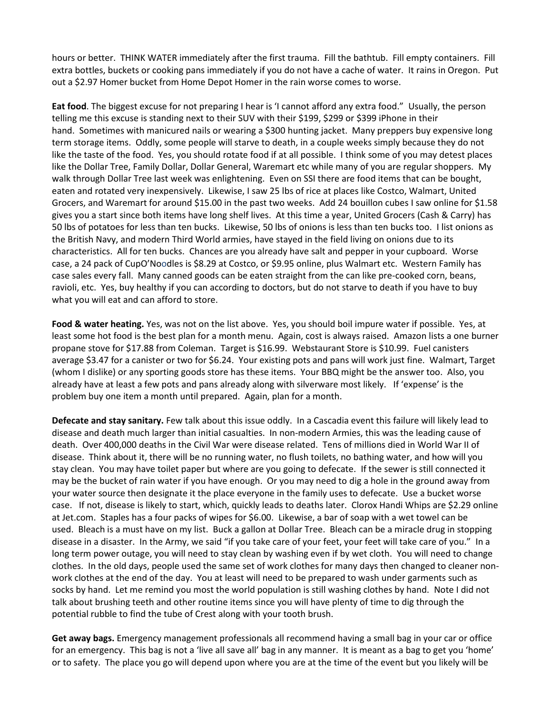hours or better. THINK WATER immediately after the first trauma. Fill the bathtub. Fill empty containers. Fill extra bottles, buckets or cooking pans immediately if you do not have a cache of water. It rains in Oregon. Put out a \$2.97 Homer bucket from Home Depot Homer in the rain worse comes to worse.

**Eat food**. The biggest excuse for not preparing I hear is 'I cannot afford any extra food." Usually, the person telling me this excuse is standing next to their SUV with their \$199, \$299 or \$399 iPhone in their hand. Sometimes with manicured nails or wearing a \$300 hunting jacket. Many preppers buy expensive long term storage items. Oddly, some people will starve to death, in a couple weeks simply because they do not like the taste of the food. Yes, you should rotate food if at all possible. I think some of you may detest places like the Dollar Tree, Family Dollar, Dollar General, Waremart etc while many of you are regular shoppers. My walk through Dollar Tree last week was enlightening. Even on SSI there are food items that can be bought, eaten and rotated very inexpensively. Likewise, I saw 25 lbs of rice at places like Costco, Walmart, United Grocers, and Waremart for around \$15.00 in the past two weeks. Add 24 bouillon cubes I saw online for \$1.58 gives you a start since both items have long shelf lives. At this time a year, United Grocers (Cash & Carry) has 50 lbs of potatoes for less than ten bucks. Likewise, 50 lbs of onions is less than ten bucks too. I list onions as the British Navy, and modern Third World armies, have stayed in the field living on onions due to its characteristics. All for ten bucks. Chances are you already have salt and pepper in your cupboard. Worse case, a 24 pack of CupO'Noodles is \$8.29 at Costco, or \$9.95 online, plus Walmart etc. Western Family has case sales every fall. Many canned goods can be eaten straight from the can like pre-cooked corn, beans, ravioli, etc. Yes, buy healthy if you can according to doctors, but do not starve to death if you have to buy what you will eat and can afford to store.

**Food & water heating.** Yes, was not on the list above. Yes, you should boil impure water if possible. Yes, at least some hot food is the best plan for a month menu. Again, cost is always raised. Amazon lists a one burner propane stove for \$17.88 from Coleman. Target is \$16.99. Webstaurant Store is \$10.99. Fuel canisters average \$3.47 for a canister or two for \$6.24. Your existing pots and pans will work just fine. Walmart, Target (whom I dislike) or any sporting goods store has these items. Your BBQ might be the answer too. Also, you already have at least a few pots and pans already along with silverware most likely. If 'expense' is the problem buy one item a month until prepared. Again, plan for a month.

**Defecate and stay sanitary.** Few talk about this issue oddly. In a Cascadia event this failure will likely lead to disease and death much larger than initial casualties. In non-modern Armies, this was the leading cause of death. Over 400,000 deaths in the Civil War were disease related. Tens of millions died in World War II of disease. Think about it, there will be no running water, no flush toilets, no bathing water, and how will you stay clean. You may have toilet paper but where are you going to defecate. If the sewer is still connected it may be the bucket of rain water if you have enough. Or you may need to dig a hole in the ground away from your water source then designate it the place everyone in the family uses to defecate. Use a bucket worse case. If not, disease is likely to start, which, quickly leads to deaths later. Clorox Handi Whips are \$2.29 online at Jet.com. Staples has a four packs of wipes for \$6.00. Likewise, a bar of soap with a wet towel can be used. Bleach is a must have on my list. Buck a gallon at Dollar Tree. Bleach can be a miracle drug in stopping disease in a disaster. In the Army, we said "if you take care of your feet, your feet will take care of you." In a long term power outage, you will need to stay clean by washing even if by wet cloth. You will need to change clothes. In the old days, people used the same set of work clothes for many days then changed to cleaner nonwork clothes at the end of the day. You at least will need to be prepared to wash under garments such as socks by hand. Let me remind you most the world population is still washing clothes by hand. Note I did not talk about brushing teeth and other routine items since you will have plenty of time to dig through the potential rubble to find the tube of Crest along with your tooth brush.

**Get away bags.** Emergency management professionals all recommend having a small bag in your car or office for an emergency. This bag is not a 'live all save all' bag in any manner. It is meant as a bag to get you 'home' or to safety. The place you go will depend upon where you are at the time of the event but you likely will be